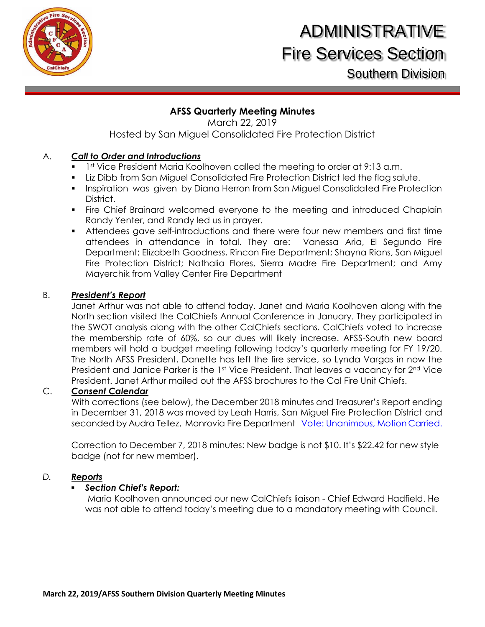

# **AFSS Quarterly Meeting Minutes**

March 22, 2019 Hosted by San Miguel Consolidated Fire Protection District

# A. *Call to Order and Introductions*

- 1st Vice President Maria Koolhoven called the meeting to order at 9:13 a.m.
- Liz Dibb from San Miguel Consolidated Fire Protection District led the flag salute.
- **Inspiration was given by Diana Herron from San Miguel Consolidated Fire Protection** District.
- **Fire Chief Brainard welcomed everyone to the meeting and introduced Chaplain** Randy Yenter, and Randy led us in prayer.
- Attendees gave self-introductions and there were four new members and first time attendees in attendance in total. They are: Vanessa Aria, El Segundo Fire Department; Elizabeth Goodness, Rincon Fire Department; Shayna Rians, San Miguel Fire Protection District; Nathalia Flores, Sierra Madre Fire Department; and Amy Mayerchik from Valley Center Fire Department

### B. *President's Report*

Janet Arthur was not able to attend today. Janet and Maria Koolhoven along with the North section visited the CalChiefs Annual Conference in January. They participated in the SWOT analysis along with the other CalChiefs sections. CalChiefs voted to increase the membership rate of 60%, so our dues will likely increase. AFSS-South new board members will hold a budget meeting following today's quarterly meeting for FY 19/20. The North AFSS President, Danette has left the fire service, so Lynda Vargas in now the President and Janice Parker is the 1st Vice President. That leaves a vacancy for 2<sup>nd</sup> Vice President. Janet Arthur mailed out the AFSS brochures to the Cal Fire Unit Chiefs.

### C. *Consent Calendar*

With corrections (see below), the December 2018 minutes and Treasurer's Report ending in December 31, 2018 was moved by Leah Harris, San Miguel Fire Protection District and seconded by Audra Tellez, Monrovia Fire Department Vote: Unanimous, Motion Carried.

Correction to December 7, 2018 minutes: New badge is not \$10. It's \$22.42 for new style badge (not for new member).

### *D. Reports*

### *Section Chief's Report:*

Maria Koolhoven announced our new CalChiefs liaison - Chief Edward Hadfield. He was not able to attend today's meeting due to a mandatory meeting with Council.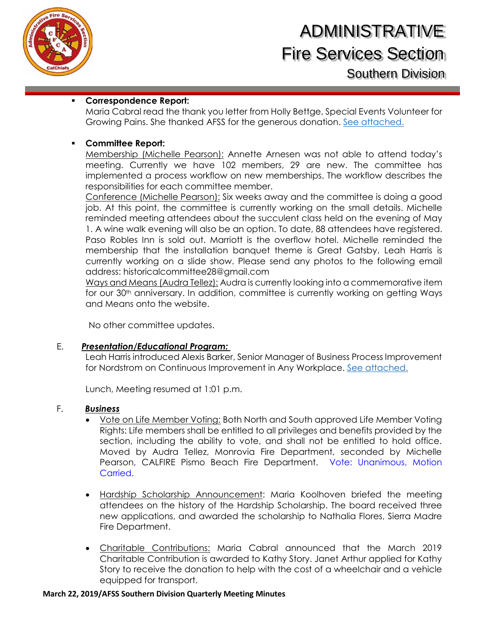

#### **Correspondence Report:**

Maria Cabral read the thank you letter from Holly Bettge, Special Events Volunteer for Growing Pains. She thanked AFSS for the generous donation. [See attached.](https://files.constantcontact.com/29613ba9501/0d93a11e-c743-46b4-8804-408f8aca1343.png)

#### **Committee Report:**

Membership (Michelle Pearson): Annette Arnesen was not able to attend today's meeting. Currently we have 102 members, 29 are new. The committee has implemented a process workflow on new memberships. The workflow describes the responsibilities for each committee member.

Conference (Michelle Pearson): Six weeks away and the committee is doing a good job. At this point, the committee is currently working on the small details. Michelle reminded meeting attendees about the succulent class held on the evening of May 1. A wine walk evening will also be an option. To date, 88 attendees have registered. Paso Robles Inn is sold out. Marriott is the overflow hotel. Michelle reminded the membership that the installation banquet theme is Great Gatsby. Leah Harris is currently working on a slide show. Please send any photos to the following email address: [historicalcommittee28@gmail.com](mailto:historicalcommittee28@gmail.com)

Ways and Means (Audra Tellez): Audra is currently looking into a commemorative item for our 30<sup>th</sup> anniversary. In addition, committee is currently working on getting Ways and Means onto the website.

No other committee updates.

#### E. *Presentation/Educational Program:*

Leah Harris introduced Alexis Barker, Senior Manager of Business Process Improvement for Nordstrom on Continuous Improvement in Any Workplace. [See attached.](https://files.constantcontact.com/29613ba9501/04e23316-74ce-42bd-828b-9c82e73cce4f.pdf)

Lunch, Meeting resumed at 1:01 p.m.

#### F. *Business*

- Vote on Life Member Voting: Both North and South approved Life Member Voting Rights: Life members shall be entitled to all privileges and benefits provided by the section, including the ability to vote, and shall not be entitled to hold office. Moved by Audra Tellez, Monrovia Fire Department, seconded by Michelle Pearson, CALFIRE Pismo Beach Fire Department. Vote: Unanimous, Motion Carried.
- Hardship Scholarship Announcement: Maria Koolhoven briefed the meeting attendees on the history of the Hardship Scholarship. The board received three new applications, and awarded the scholarship to Nathalia Flores, Sierra Madre Fire Department.
- Charitable Contributions: Maria Cabral announced that the March 2019 Charitable Contribution is awarded to Kathy Story. Janet Arthur applied for Kathy Story to receive the donation to help with the cost of a wheelchair and a vehicle equipped for transport.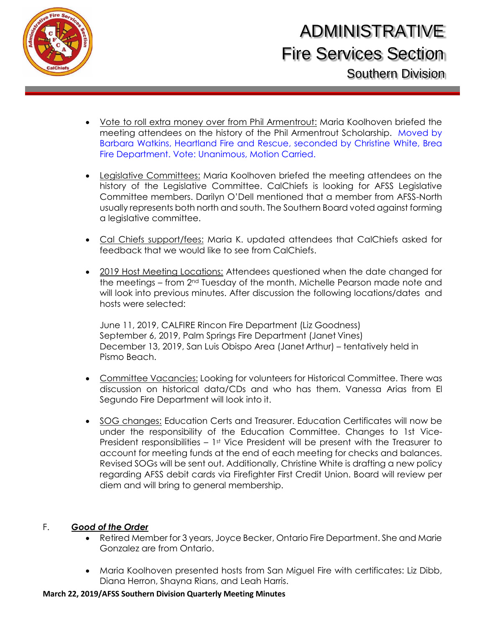

- Vote to roll extra money over from Phil Armentrout: Maria Koolhoven briefed the meeting attendees on the history of the Phil Armentrout Scholarship. Moved by Barbara Watkins, Heartland Fire and Rescue, seconded by Christine White, Brea Fire Department. Vote: Unanimous, Motion Carried.
- Legislative Committees: Maria Koolhoven briefed the meeting attendees on the history of the Legislative Committee. CalChiefs is looking for AFSS Legislative Committee members. Darilyn O'Dell mentioned that a member from AFSS-North usually represents both north and south. The Southern Board voted against forming a legislative committee.
- Cal Chiefs support/fees: Maria K. updated attendees that CalChiefs asked for feedback that we would like to see from CalChiefs.
- 2019 Host Meeting Locations: Attendees questioned when the date changed for the meetings – from 2nd Tuesday of the month. Michelle Pearson made note and will look into previous minutes. After discussion the following locations/dates and hosts were selected:

June 11, 2019, CALFIRE Rincon Fire Department (Liz Goodness) September 6, 2019, Palm Springs Fire Department (Janet Vines) December 13, 2019, San Luis Obispo Area (Janet Arthur) – tentatively held in Pismo Beach.

- Committee Vacancies: Looking for volunteers for Historical Committee. There was discussion on historical data/CDs and who has them. Vanessa Arias from El Segundo Fire Department will look into it.
- SOG changes: Education Certs and Treasurer. Education Certificates will now be under the responsibility of the Education Committee. Changes to 1st Vice-President responsibilities  $-1$ <sup>st</sup> Vice President will be present with the Treasurer to account for meeting funds at the end of each meeting for checks and balances. Revised SOGs will be sent out. Additionally, Christine White is drafting a new policy regarding AFSS debit cards via Firefighter First Credit Union. Board will review per diem and will bring to general membership.

### F. *Good of the Order*

- Retired Member for 3 years, Joyce Becker, Ontario Fire Department. She and Marie Gonzalez are from Ontario.
- Maria Koolhoven presented hosts from San Miguel Fire with certificates: Liz Dibb, Diana Herron, Shayna Rians, and Leah Harris.

#### **March 22, 2019/AFSS Southern Division Quarterly Meeting Minutes**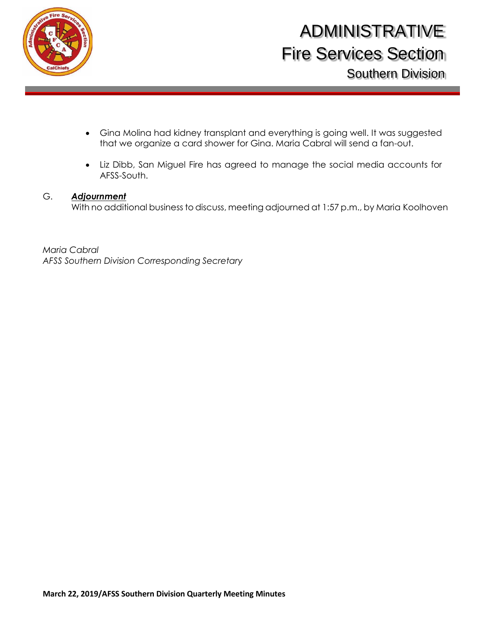

- Gina Molina had kidney transplant and everything is going well. It was suggested that we organize a card shower for Gina. Maria Cabral will send a fan-out.
- Liz Dibb, San Miguel Fire has agreed to manage the social media accounts for AFSS-South.

### G. *Adjournment*

With no additional business to discuss, meeting adjourned at 1:57 p.m., by Maria Koolhoven

*Maria Cabral AFSS Southern Division Corresponding Secretary*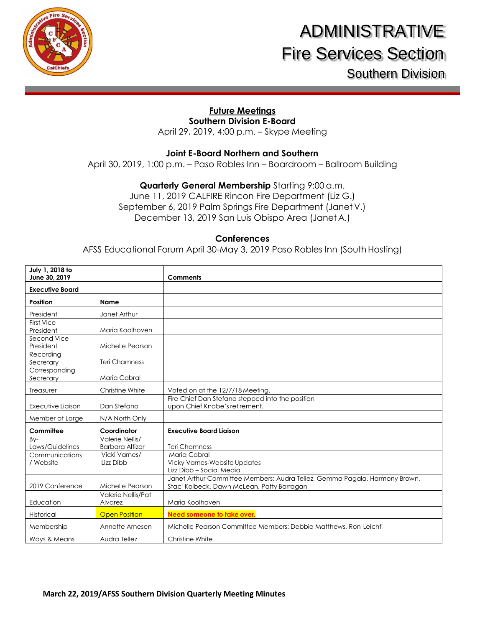

# **Future Meetings**

**Southern Division E-Board** 

April 29, 2019, 4:00 p.m. – Skype Meeting

#### **Joint E-Board Northern and Southern**

April 30, 2019, 1:00 p.m. – Paso Robles Inn – Boardroom – Ballroom Building

**Quarterly General Membership** Starting 9:00 a.m.

June 11, 2019 CALFIRE Rincon Fire Department (Liz G.) September 6, 2019 Palm Springs Fire Department (Janet V.) December 13, 2019 San Luis Obispo Area (Janet A.)

#### **Conferences**

AFSS Educational Forum April 30-May 3, 2019 Paso Robles Inn (South Hosting)

| July 1, 2018 to<br>June 30, 2019 |                                           | <b>Comments</b>                                                                                                          |
|----------------------------------|-------------------------------------------|--------------------------------------------------------------------------------------------------------------------------|
| <b>Executive Board</b>           |                                           |                                                                                                                          |
| <b>Position</b>                  | <b>Name</b>                               |                                                                                                                          |
| President                        | Janet Arthur                              |                                                                                                                          |
| <b>First Vice</b><br>President   | Maria Koolhoven                           |                                                                                                                          |
| Second Vice<br>President         | Michelle Pearson                          |                                                                                                                          |
| Recording<br>Secretary           | <b>Teri Chamness</b>                      |                                                                                                                          |
| Corresponding<br>Secretary       | Maria Cabral                              |                                                                                                                          |
| Treasurer                        | Christine White                           | Voted on at the 12/7/18 Meeting.                                                                                         |
| Executive Liaison                | Dan Stefano                               | Fire Chief Dan Stefano stepped into the position<br>upon Chief Knabe's retirement.                                       |
| Member at Large                  | N/A North Only                            |                                                                                                                          |
| Committee                        | Coordinator                               | <b>Executive Board Liaison</b>                                                                                           |
| By-<br>Laws/Guidelines           | Valerie Nellis/<br><b>Barbara Altizer</b> | <b>Teri Chamness</b>                                                                                                     |
| Communications<br>/ Website      | Vicki Varnes/<br>Lizz Dibb                | Maria Cabral<br><b>Vicky Varnes-Website Updates</b><br>Lizz Dibb - Social Media                                          |
| 2019 Conference                  | Michelle Pearson                          | Janet Arthur Committee Members: Audra Tellez, Gemma Pagala, Harmony Brown,<br>Staci Kolbeck, Dawn McLean, Patty Barragan |
| Education                        | Valerie Nellis/Pat<br>Alvarez             | Maria Koolhoven                                                                                                          |
| Historical                       | <b>Open Position</b>                      | Need someone to take over.                                                                                               |
| Membership                       | Annette Arnesen                           | Michelle Pearson Committee Members: Debbie Matthews, Ron Leichti                                                         |
| Ways & Means                     | Audra Tellez                              | <b>Christine White</b>                                                                                                   |